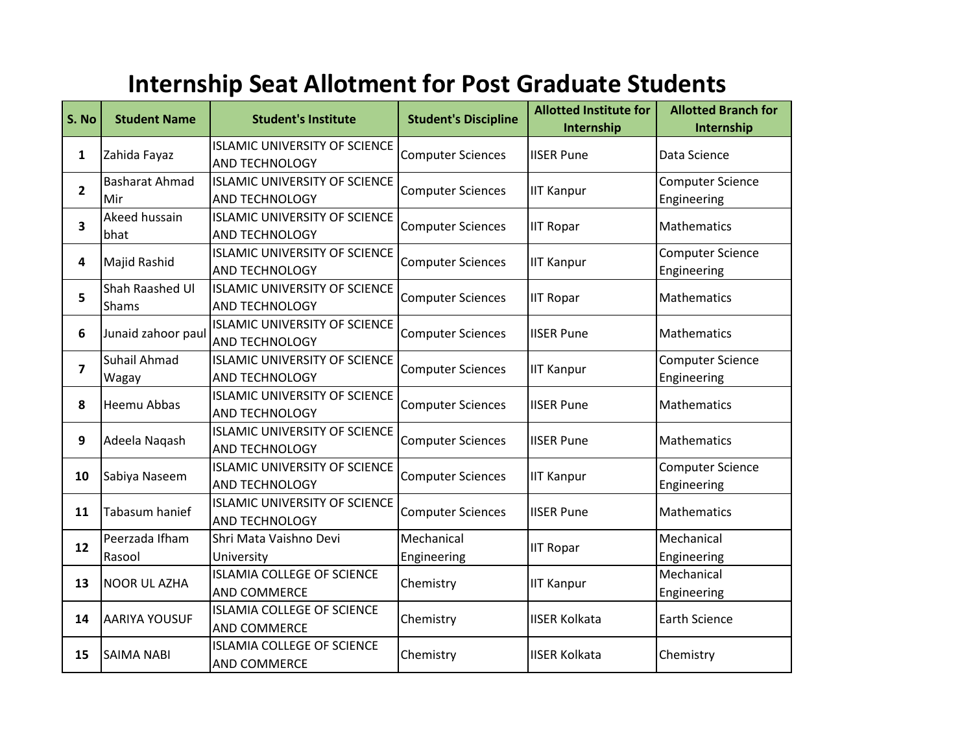## **Internship Seat Allotment for Post Graduate Students**

| S. No          | <b>Student Name</b>          | <b>Student's Institute</b>                                    | <b>Student's Discipline</b> | <b>Allotted Institute for</b><br>Internship | <b>Allotted Branch for</b><br>Internship |
|----------------|------------------------------|---------------------------------------------------------------|-----------------------------|---------------------------------------------|------------------------------------------|
| 1              | Zahida Fayaz                 | <b>ISLAMIC UNIVERSITY OF SCIENCE</b><br><b>AND TECHNOLOGY</b> | <b>Computer Sciences</b>    | <b>IISER Pune</b>                           | Data Science                             |
| $\mathbf{2}$   | <b>Basharat Ahmad</b><br>Mir | <b>ISLAMIC UNIVERSITY OF SCIENCE</b><br>AND TECHNOLOGY        | <b>Computer Sciences</b>    | <b>IIT Kanpur</b>                           | <b>Computer Science</b><br>Engineering   |
| 3              | Akeed hussain<br>bhat        | <b>ISLAMIC UNIVERSITY OF SCIENCE</b><br>AND TECHNOLOGY        | <b>Computer Sciences</b>    | <b>IIT Ropar</b>                            | <b>Mathematics</b>                       |
| 4              | Majid Rashid                 | <b>ISLAMIC UNIVERSITY OF SCIENCE</b><br>AND TECHNOLOGY        | <b>Computer Sciences</b>    | <b>IIT Kanpur</b>                           | <b>Computer Science</b><br>Engineering   |
| 5              | Shah Raashed UI<br>Shams     | <b>ISLAMIC UNIVERSITY OF SCIENCE</b><br>AND TECHNOLOGY        | <b>Computer Sciences</b>    | <b>IIT Ropar</b>                            | Mathematics                              |
| 6              | Junaid zahoor paul           | <b>ISLAMIC UNIVERSITY OF SCIENCE</b><br>AND TECHNOLOGY        | <b>Computer Sciences</b>    | <b>IISER Pune</b>                           | Mathematics                              |
| $\overline{ }$ | Suhail Ahmad<br>Wagay        | <b>ISLAMIC UNIVERSITY OF SCIENCE</b><br>AND TECHNOLOGY        | <b>Computer Sciences</b>    | <b>IIT Kanpur</b>                           | <b>Computer Science</b><br>Engineering   |
| 8              | Heemu Abbas                  | <b>ISLAMIC UNIVERSITY OF SCIENCE</b><br><b>AND TECHNOLOGY</b> | <b>Computer Sciences</b>    | <b>IISER Pune</b>                           | Mathematics                              |
| 9              | Adeela Naqash                | <b>ISLAMIC UNIVERSITY OF SCIENCE</b><br><b>AND TECHNOLOGY</b> | <b>Computer Sciences</b>    | <b>IISER Pune</b>                           | Mathematics                              |
| 10             | Sabiya Naseem                | <b>ISLAMIC UNIVERSITY OF SCIENCE</b><br><b>AND TECHNOLOGY</b> | <b>Computer Sciences</b>    | <b>IIT Kanpur</b>                           | <b>Computer Science</b><br>Engineering   |
| 11             | Tabasum hanief               | <b>ISLAMIC UNIVERSITY OF SCIENCE</b><br>AND TECHNOLOGY        | <b>Computer Sciences</b>    | <b>IISER Pune</b>                           | Mathematics                              |
| 12             | Peerzada Ifham<br>Rasool     | Shri Mata Vaishno Devi<br>University                          | Mechanical<br>Engineering   | <b>IIT Ropar</b>                            | Mechanical<br>Engineering                |
| 13             | <b>NOOR UL AZHA</b>          | <b>ISLAMIA COLLEGE OF SCIENCE</b><br><b>AND COMMERCE</b>      | Chemistry                   | <b>IIT Kanpur</b>                           | Mechanical<br>Engineering                |
| 14             | <b>AARIYA YOUSUF</b>         | <b>ISLAMIA COLLEGE OF SCIENCE</b><br><b>AND COMMERCE</b>      | Chemistry                   | <b>IISER Kolkata</b>                        | <b>Earth Science</b>                     |
| 15             | <b>SAIMA NABI</b>            | <b>ISLAMIA COLLEGE OF SCIENCE</b><br><b>AND COMMERCE</b>      | Chemistry                   | <b>IISER Kolkata</b>                        | Chemistry                                |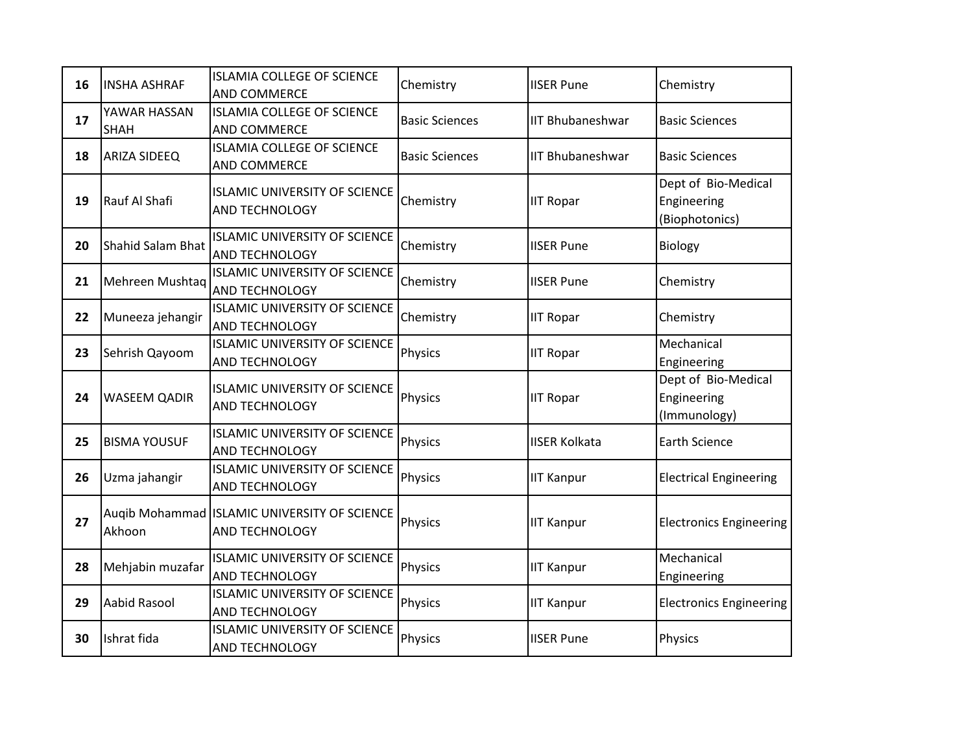| 16 | <b>INSHA ASHRAF</b>         | <b>ISLAMIA COLLEGE OF SCIENCE</b><br><b>AND COMMERCE</b>       | Chemistry             | <b>IISER Pune</b>       | Chemistry                                            |
|----|-----------------------------|----------------------------------------------------------------|-----------------------|-------------------------|------------------------------------------------------|
| 17 | YAWAR HASSAN<br><b>SHAH</b> | <b>ISLAMIA COLLEGE OF SCIENCE</b><br>AND COMMERCE              | <b>Basic Sciences</b> | <b>IIT Bhubaneshwar</b> | <b>Basic Sciences</b>                                |
| 18 | <b>ARIZA SIDEEQ</b>         | <b>ISLAMIA COLLEGE OF SCIENCE</b><br>AND COMMERCE              | <b>Basic Sciences</b> | <b>IIT Bhubaneshwar</b> | <b>Basic Sciences</b>                                |
| 19 | Rauf Al Shafi               | <b>ISLAMIC UNIVERSITY OF SCIENCE</b><br>AND TECHNOLOGY         | Chemistry             | <b>IIT Ropar</b>        | Dept of Bio-Medical<br>Engineering<br>(Biophotonics) |
| 20 | Shahid Salam Bhat           | <b>ISLAMIC UNIVERSITY OF SCIENCE</b><br>AND TECHNOLOGY         | Chemistry             | <b>IISER Pune</b>       | Biology                                              |
| 21 | Mehreen Mushtaq             | <b>ISLAMIC UNIVERSITY OF SCIENCE</b><br>AND TECHNOLOGY         | Chemistry             | <b>IISER Pune</b>       | Chemistry                                            |
| 22 | Muneeza jehangir            | <b>ISLAMIC UNIVERSITY OF SCIENCE</b><br>AND TECHNOLOGY         | Chemistry             | <b>IIT Ropar</b>        | Chemistry                                            |
| 23 | Sehrish Qayoom              | <b>ISLAMIC UNIVERSITY OF SCIENCE</b><br>AND TECHNOLOGY         | Physics               | <b>IIT Ropar</b>        | Mechanical<br>Engineering                            |
| 24 | <b>WASEEM QADIR</b>         | <b>ISLAMIC UNIVERSITY OF SCIENCE</b><br>AND TECHNOLOGY         | Physics               | <b>IIT Ropar</b>        | Dept of Bio-Medical<br>Engineering<br>(Immunology)   |
| 25 | <b>BISMA YOUSUF</b>         | <b>ISLAMIC UNIVERSITY OF SCIENCE</b><br>AND TECHNOLOGY         | Physics               | <b>IISER Kolkata</b>    | <b>Earth Science</b>                                 |
| 26 | Uzma jahangir               | <b>ISLAMIC UNIVERSITY OF SCIENCE</b><br>AND TECHNOLOGY         | Physics               | <b>IIT Kanpur</b>       | <b>Electrical Engineering</b>                        |
| 27 | Akhoon                      | Augib Mohammad ISLAMIC UNIVERSITY OF SCIENCE<br>AND TECHNOLOGY | Physics               | <b>IIT Kanpur</b>       | <b>Electronics Engineering</b>                       |
| 28 | Mehjabin muzafar            | <b>ISLAMIC UNIVERSITY OF SCIENCE</b><br>AND TECHNOLOGY         | Physics               | <b>IIT Kanpur</b>       | Mechanical<br>Engineering                            |
| 29 | Aabid Rasool                | <b>ISLAMIC UNIVERSITY OF SCIENCE</b><br>AND TECHNOLOGY         | Physics               | <b>IIT Kanpur</b>       | <b>Electronics Engineering</b>                       |
| 30 | Ishrat fida                 | <b>ISLAMIC UNIVERSITY OF SCIENCE</b><br>AND TECHNOLOGY         | Physics               | <b>IISER Pune</b>       | Physics                                              |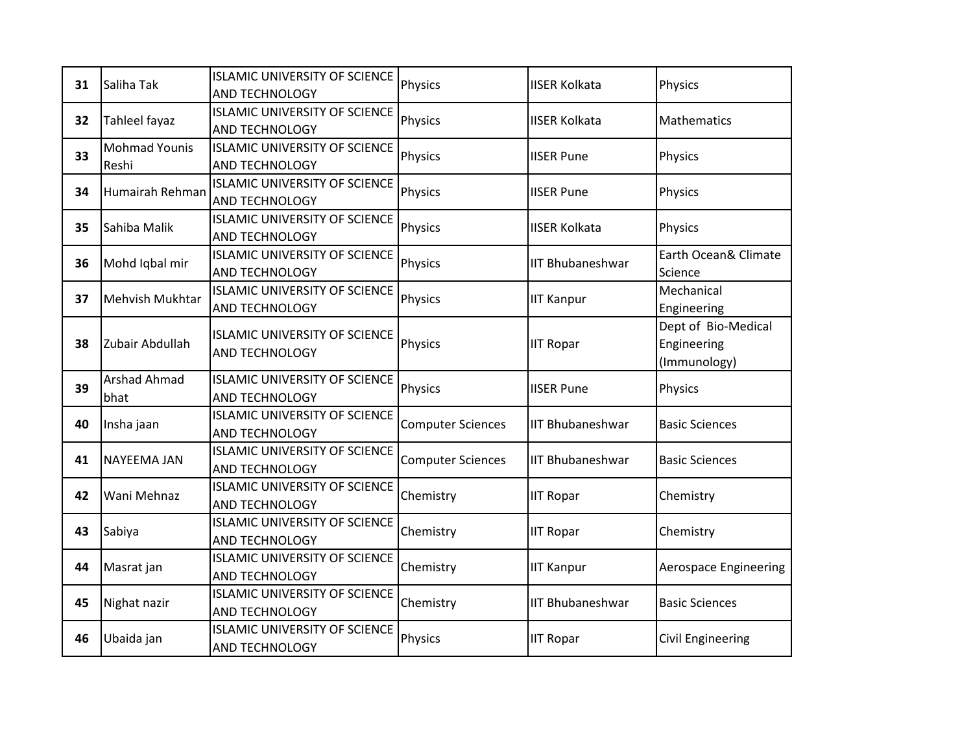| 31 | Saliha Tak                    | <b>ISLAMIC UNIVERSITY OF SCIENCE</b><br><b>AND TECHNOLOGY</b> | Physics                  | <b>IISER Kolkata</b>    | Physics                                            |
|----|-------------------------------|---------------------------------------------------------------|--------------------------|-------------------------|----------------------------------------------------|
| 32 | Tahleel fayaz                 | <b>ISLAMIC UNIVERSITY OF SCIENCE</b><br><b>AND TECHNOLOGY</b> | Physics                  | <b>IISER Kolkata</b>    | <b>Mathematics</b>                                 |
| 33 | <b>Mohmad Younis</b><br>Reshi | <b>ISLAMIC UNIVERSITY OF SCIENCE</b><br>AND TECHNOLOGY        | Physics                  | <b>IISER Pune</b>       | Physics                                            |
| 34 | Humairah Rehman               | <b>ISLAMIC UNIVERSITY OF SCIENCE</b><br>AND TECHNOLOGY        | Physics                  | <b>IISER Pune</b>       | Physics                                            |
| 35 | Sahiba Malik                  | <b>ISLAMIC UNIVERSITY OF SCIENCE</b><br><b>AND TECHNOLOGY</b> | Physics                  | <b>IISER Kolkata</b>    | Physics                                            |
| 36 | Mohd Iqbal mir                | <b>ISLAMIC UNIVERSITY OF SCIENCE</b><br>AND TECHNOLOGY        | Physics                  | <b>IIT Bhubaneshwar</b> | Earth Ocean& Climate<br>Science                    |
| 37 | <b>Mehvish Mukhtar</b>        | <b>ISLAMIC UNIVERSITY OF SCIENCE</b><br>AND TECHNOLOGY        | Physics                  | <b>IIT Kanpur</b>       | Mechanical<br>Engineering                          |
| 38 | Zubair Abdullah               | <b>ISLAMIC UNIVERSITY OF SCIENCE</b><br>AND TECHNOLOGY        | Physics                  | <b>IIT Ropar</b>        | Dept of Bio-Medical<br>Engineering<br>(Immunology) |
| 39 | <b>Arshad Ahmad</b><br>bhat   | <b>ISLAMIC UNIVERSITY OF SCIENCE</b><br>AND TECHNOLOGY        | Physics                  | <b>IISER Pune</b>       | Physics                                            |
| 40 | Insha jaan                    | <b>ISLAMIC UNIVERSITY OF SCIENCE</b><br>AND TECHNOLOGY        | <b>Computer Sciences</b> | <b>IIT Bhubaneshwar</b> | <b>Basic Sciences</b>                              |
| 41 | <b>NAYEEMA JAN</b>            | <b>ISLAMIC UNIVERSITY OF SCIENCE</b><br>AND TECHNOLOGY        | <b>Computer Sciences</b> | <b>IIT Bhubaneshwar</b> | <b>Basic Sciences</b>                              |
| 42 | Wani Mehnaz                   | <b>ISLAMIC UNIVERSITY OF SCIENCE</b><br>AND TECHNOLOGY        | Chemistry                | <b>IIT Ropar</b>        | Chemistry                                          |
| 43 | Sabiya                        | <b>ISLAMIC UNIVERSITY OF SCIENCE</b><br>AND TECHNOLOGY        | Chemistry                | <b>IIT Ropar</b>        | Chemistry                                          |
| 44 | Masrat jan                    | <b>ISLAMIC UNIVERSITY OF SCIENCE</b><br><b>AND TECHNOLOGY</b> | Chemistry                | <b>IIT Kanpur</b>       | <b>Aerospace Engineering</b>                       |
| 45 | Nighat nazir                  | <b>ISLAMIC UNIVERSITY OF SCIENCE</b><br>AND TECHNOLOGY        | Chemistry                | <b>IIT Bhubaneshwar</b> | <b>Basic Sciences</b>                              |
| 46 | Ubaida jan                    | <b>ISLAMIC UNIVERSITY OF SCIENCE</b><br>AND TECHNOLOGY        | Physics                  | <b>IIT Ropar</b>        | <b>Civil Engineering</b>                           |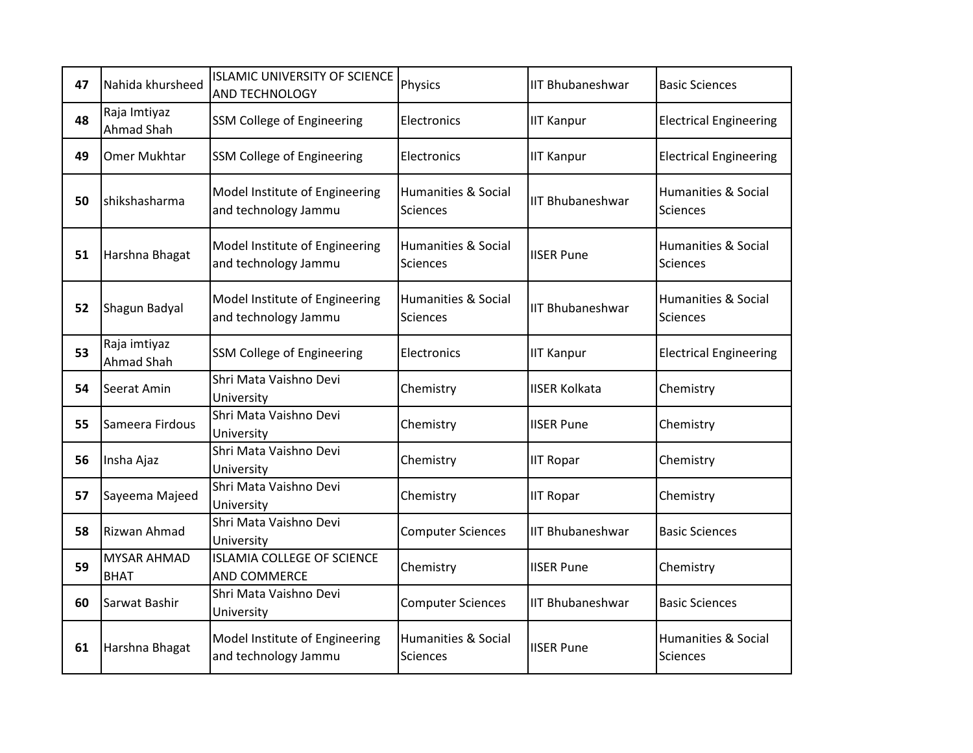| 47 | Nahida khursheed                  | <b>ISLAMIC UNIVERSITY OF SCIENCE</b><br><b>AND TECHNOLOGY</b> | Physics                                           | <b>IIT Bhubaneshwar</b> | <b>Basic Sciences</b>                      |
|----|-----------------------------------|---------------------------------------------------------------|---------------------------------------------------|-------------------------|--------------------------------------------|
| 48 | Raja Imtiyaz<br>Ahmad Shah        | <b>SSM College of Engineering</b>                             | Electronics                                       | <b>IIT Kanpur</b>       | <b>Electrical Engineering</b>              |
| 49 | Omer Mukhtar                      | <b>SSM College of Engineering</b>                             | Electronics                                       | <b>IIT Kanpur</b>       | <b>Electrical Engineering</b>              |
| 50 | shikshasharma                     | Model Institute of Engineering<br>and technology Jammu        | Humanities & Social<br><b>Sciences</b>            | <b>IIT Bhubaneshwar</b> | Humanities & Social<br><b>Sciences</b>     |
| 51 | Harshna Bhagat                    | Model Institute of Engineering<br>and technology Jammu        | <b>Humanities &amp; Social</b><br><b>Sciences</b> | <b>IISER Pune</b>       | Humanities & Social<br>Sciences            |
| 52 | Shagun Badyal                     | Model Institute of Engineering<br>and technology Jammu        | <b>Humanities &amp; Social</b><br><b>Sciences</b> | <b>IIT Bhubaneshwar</b> | <b>Humanities &amp; Social</b><br>Sciences |
| 53 | Raja imtiyaz<br>Ahmad Shah        | SSM College of Engineering                                    | Electronics                                       | <b>IIT Kanpur</b>       | <b>Electrical Engineering</b>              |
| 54 | Seerat Amin                       | Shri Mata Vaishno Devi<br>University                          | Chemistry                                         | <b>IISER Kolkata</b>    | Chemistry                                  |
| 55 | Sameera Firdous                   | Shri Mata Vaishno Devi<br>University                          | Chemistry                                         | <b>IISER Pune</b>       | Chemistry                                  |
| 56 | Insha Ajaz                        | Shri Mata Vaishno Devi<br>University                          | Chemistry                                         | <b>IIT Ropar</b>        | Chemistry                                  |
| 57 | Sayeema Majeed                    | Shri Mata Vaishno Devi<br>University                          | Chemistry                                         | <b>IIT Ropar</b>        | Chemistry                                  |
| 58 | Rizwan Ahmad                      | Shri Mata Vaishno Devi<br>University                          | <b>Computer Sciences</b>                          | <b>IIT Bhubaneshwar</b> | <b>Basic Sciences</b>                      |
| 59 | <b>MYSAR AHMAD</b><br><b>BHAT</b> | <b>ISLAMIA COLLEGE OF SCIENCE</b><br>AND COMMERCE             | Chemistry                                         | <b>IISER Pune</b>       | Chemistry                                  |
| 60 | Sarwat Bashir                     | Shri Mata Vaishno Devi<br>University                          | <b>Computer Sciences</b>                          | <b>IIT Bhubaneshwar</b> | <b>Basic Sciences</b>                      |
| 61 | Harshna Bhagat                    | Model Institute of Engineering<br>and technology Jammu        | <b>Humanities &amp; Social</b><br><b>Sciences</b> | <b>IISER Pune</b>       | Humanities & Social<br>Sciences            |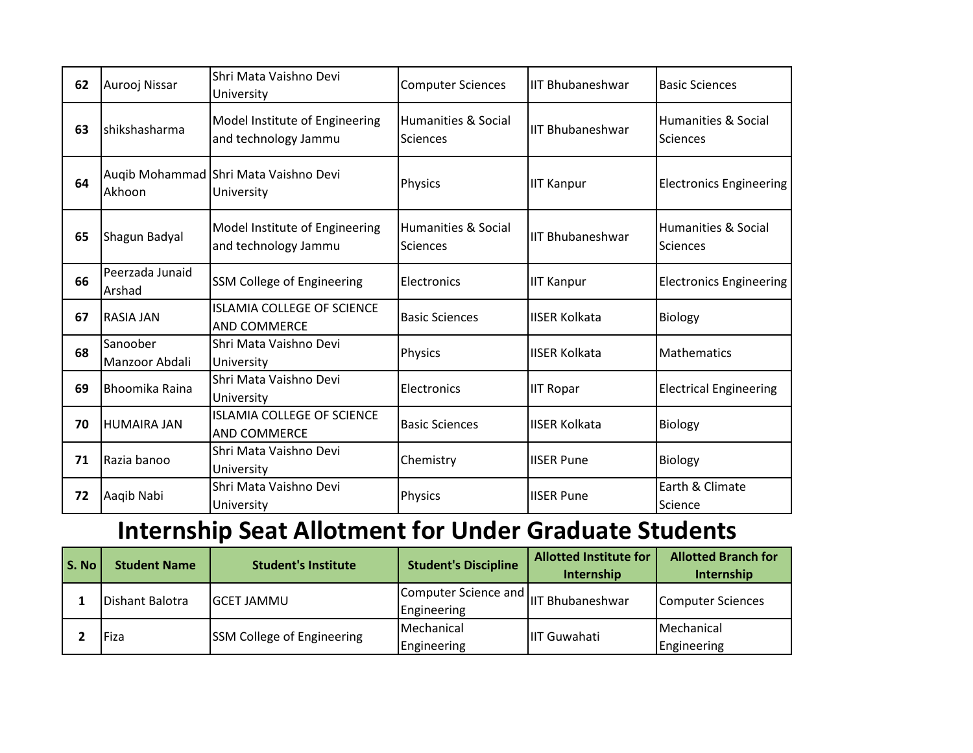| 62 | Aurooj Nissar              | Shri Mata Vaishno Devi<br>University                     | <b>Computer Sciences</b>               | <b>IIT Bhubaneshwar</b> | <b>Basic Sciences</b>           |
|----|----------------------------|----------------------------------------------------------|----------------------------------------|-------------------------|---------------------------------|
| 63 | <b>I</b> shikshasharma     | Model Institute of Engineering<br>and technology Jammu   | Humanities & Social<br><b>Sciences</b> | <b>IIT Bhubaneshwar</b> | Humanities & Social<br>Sciences |
| 64 | Akhoon                     | Auqib Mohammad Shri Mata Vaishno Devi<br>University      | Physics                                | <b>IIT Kanpur</b>       | <b>Electronics Engineering</b>  |
| 65 | Shagun Badyal              | Model Institute of Engineering<br>and technology Jammu   | Humanities & Social<br><b>Sciences</b> | <b>IIT Bhubaneshwar</b> | Humanities & Social<br>Sciences |
| 66 | Peerzada Junaid<br>Arshad  | <b>SSM College of Engineering</b>                        | Electronics                            | <b>IIT Kanpur</b>       | <b>Electronics Engineering</b>  |
| 67 | <b>RASIA JAN</b>           | <b>ISLAMIA COLLEGE OF SCIENCE</b><br><b>AND COMMERCE</b> | <b>Basic Sciences</b>                  | <b>IISER Kolkata</b>    | <b>Biology</b>                  |
| 68 | Sanoober<br>Manzoor Abdali | Shri Mata Vaishno Devi<br>University                     | Physics                                | <b>IISER Kolkata</b>    | Mathematics                     |
| 69 | Bhoomika Raina             | Shri Mata Vaishno Devi<br>University                     | Electronics                            | <b>IIT Ropar</b>        | <b>Electrical Engineering</b>   |
| 70 | <b>HUMAIRA JAN</b>         | <b>ISLAMIA COLLEGE OF SCIENCE</b><br><b>AND COMMERCE</b> | <b>Basic Sciences</b>                  | <b>IISER Kolkata</b>    | Biology                         |
| 71 | Razia banoo                | Shri Mata Vaishno Devi<br>University                     | Chemistry                              | <b>IISER Pune</b>       | Biology                         |
| 72 | Aaqib Nabi                 | Shri Mata Vaishno Devi<br>University                     | Physics                                | <b>IISER Pune</b>       | Earth & Climate<br>Science      |

## **Internship Seat Allotment for Under Graduate Students**

| S. No | <b>Student Name</b> | <b>Student's Institute</b>        | <b>Student's Discipline</b>                 | <b>Allotted Institute for</b><br>Internship | <b>Allotted Branch for</b><br>Internship |
|-------|---------------------|-----------------------------------|---------------------------------------------|---------------------------------------------|------------------------------------------|
|       | Dishant Balotra     | <b>I</b> GCET JAMMU               | <b>IComputer Science and</b><br>Engineering | IIT Bhubaneshwar                            | Computer Sciences                        |
|       | Fiza                | <b>SSM College of Engineering</b> | Mechanical<br>Engineering                   | IIIT Guwahati                               | Mechanical<br>Engineering                |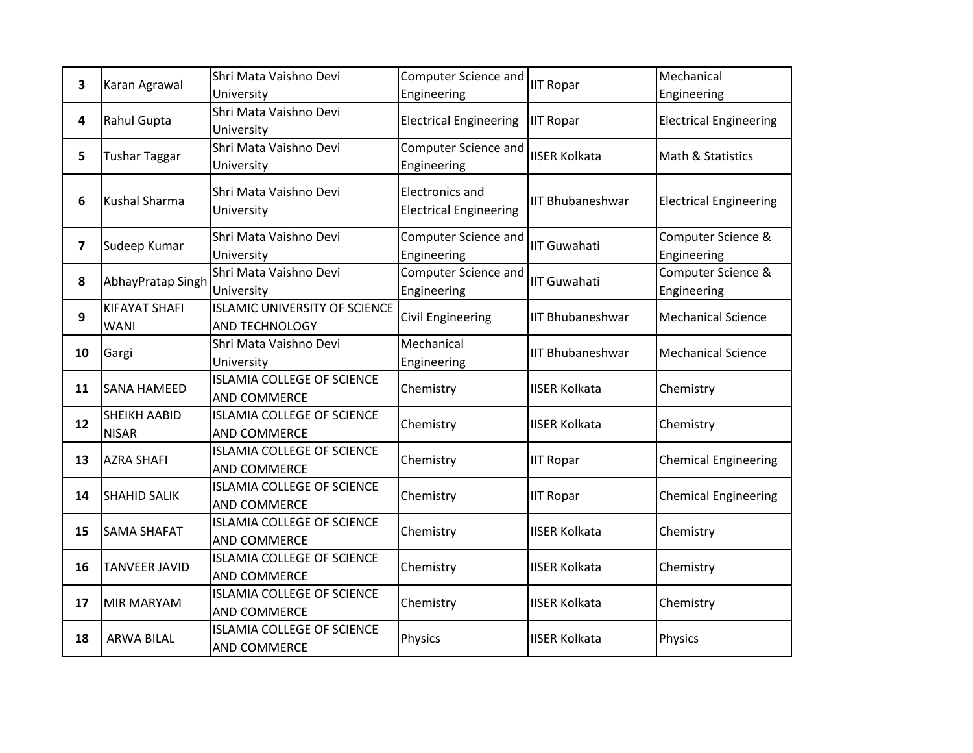| 3                       | Karan Agrawal        | Shri Mata Vaishno Devi               | Computer Science and          |                                                                                                                                                                                                                                                                                                                                                             | Mechanical                    |
|-------------------------|----------------------|--------------------------------------|-------------------------------|-------------------------------------------------------------------------------------------------------------------------------------------------------------------------------------------------------------------------------------------------------------------------------------------------------------------------------------------------------------|-------------------------------|
|                         |                      | University                           | Engineering                   |                                                                                                                                                                                                                                                                                                                                                             | Engineering                   |
| 4                       | Rahul Gupta          | Shri Mata Vaishno Devi               | <b>Electrical Engineering</b> |                                                                                                                                                                                                                                                                                                                                                             | <b>Electrical Engineering</b> |
|                         |                      | University                           |                               | <b>IIT Ropar</b><br><b>IIT Ropar</b><br><b>IISER Kolkata</b><br><b>IIT Bhubaneshwar</b><br><b>IIT Guwahati</b><br><b>IIT Guwahati</b><br><b>IIT Bhubaneshwar</b><br><b>IIT Bhubaneshwar</b><br><b>IISER Kolkata</b><br><b>IISER Kolkata</b><br><b>IIT Ropar</b><br><b>IIT Ropar</b><br><b>IISER Kolkata</b><br><b>IISER Kolkata</b><br><b>IISER Kolkata</b> |                               |
| 5                       | <b>Tushar Taggar</b> | Shri Mata Vaishno Devi               | Computer Science and          |                                                                                                                                                                                                                                                                                                                                                             | Math & Statistics             |
|                         |                      | University                           | Engineering                   |                                                                                                                                                                                                                                                                                                                                                             |                               |
| 6                       |                      | Shri Mata Vaishno Devi               | <b>Electronics and</b>        |                                                                                                                                                                                                                                                                                                                                                             |                               |
|                         | <b>Kushal Sharma</b> | University                           | <b>Electrical Engineering</b> |                                                                                                                                                                                                                                                                                                                                                             | <b>Electrical Engineering</b> |
|                         |                      |                                      |                               |                                                                                                                                                                                                                                                                                                                                                             |                               |
| $\overline{\mathbf{z}}$ | Sudeep Kumar         | Shri Mata Vaishno Devi               | Computer Science and          |                                                                                                                                                                                                                                                                                                                                                             | Computer Science &            |
|                         |                      | University                           | Engineering                   |                                                                                                                                                                                                                                                                                                                                                             | Engineering                   |
|                         | AbhayPratap Singh    | Shri Mata Vaishno Devi               | Computer Science and          |                                                                                                                                                                                                                                                                                                                                                             | Computer Science &            |
| 8                       |                      | University                           | Engineering                   |                                                                                                                                                                                                                                                                                                                                                             | Engineering                   |
| 9                       | KIFAYAT SHAFI        | <b>ISLAMIC UNIVERSITY OF SCIENCE</b> | Civil Engineering             |                                                                                                                                                                                                                                                                                                                                                             | <b>Mechanical Science</b>     |
|                         | <b>WANI</b>          | AND TECHNOLOGY                       |                               |                                                                                                                                                                                                                                                                                                                                                             |                               |
| 10                      | Gargi                | Shri Mata Vaishno Devi               | Mechanical                    |                                                                                                                                                                                                                                                                                                                                                             | <b>Mechanical Science</b>     |
|                         |                      | University                           | Engineering                   |                                                                                                                                                                                                                                                                                                                                                             |                               |
| 11                      |                      | <b>ISLAMIA COLLEGE OF SCIENCE</b>    |                               |                                                                                                                                                                                                                                                                                                                                                             | Chemistry                     |
|                         | <b>SANA HAMEED</b>   | <b>AND COMMERCE</b>                  | Chemistry                     |                                                                                                                                                                                                                                                                                                                                                             |                               |
| 12                      | <b>SHEIKH AABID</b>  | <b>ISLAMIA COLLEGE OF SCIENCE</b>    |                               |                                                                                                                                                                                                                                                                                                                                                             |                               |
|                         | <b>NISAR</b>         | <b>AND COMMERCE</b>                  | Chemistry                     |                                                                                                                                                                                                                                                                                                                                                             | Chemistry                     |
|                         | <b>AZRA SHAFI</b>    | <b>ISLAMIA COLLEGE OF SCIENCE</b>    |                               |                                                                                                                                                                                                                                                                                                                                                             |                               |
| 13                      |                      | <b>AND COMMERCE</b>                  | Chemistry                     |                                                                                                                                                                                                                                                                                                                                                             | <b>Chemical Engineering</b>   |
|                         |                      | <b>ISLAMIA COLLEGE OF SCIENCE</b>    |                               |                                                                                                                                                                                                                                                                                                                                                             |                               |
| 14                      | <b>SHAHID SALIK</b>  | <b>AND COMMERCE</b>                  | Chemistry                     |                                                                                                                                                                                                                                                                                                                                                             | <b>Chemical Engineering</b>   |
|                         |                      | <b>ISLAMIA COLLEGE OF SCIENCE</b>    |                               |                                                                                                                                                                                                                                                                                                                                                             |                               |
| 15                      | <b>SAMA SHAFAT</b>   | AND COMMERCE                         | Chemistry                     |                                                                                                                                                                                                                                                                                                                                                             | Chemistry                     |
|                         |                      | <b>ISLAMIA COLLEGE OF SCIENCE</b>    |                               |                                                                                                                                                                                                                                                                                                                                                             |                               |
| 16                      | <b>TANVEER JAVID</b> | AND COMMERCE                         | Chemistry                     |                                                                                                                                                                                                                                                                                                                                                             | Chemistry                     |
|                         |                      | <b>ISLAMIA COLLEGE OF SCIENCE</b>    |                               |                                                                                                                                                                                                                                                                                                                                                             |                               |
| 17                      | <b>MIR MARYAM</b>    | <b>AND COMMERCE</b>                  | Chemistry                     |                                                                                                                                                                                                                                                                                                                                                             | Chemistry                     |
|                         |                      | <b>ISLAMIA COLLEGE OF SCIENCE</b>    |                               | <b>IISER Kolkata</b>                                                                                                                                                                                                                                                                                                                                        |                               |
| 18                      | <b>ARWA BILAL</b>    | <b>AND COMMERCE</b>                  | Physics                       |                                                                                                                                                                                                                                                                                                                                                             | Physics                       |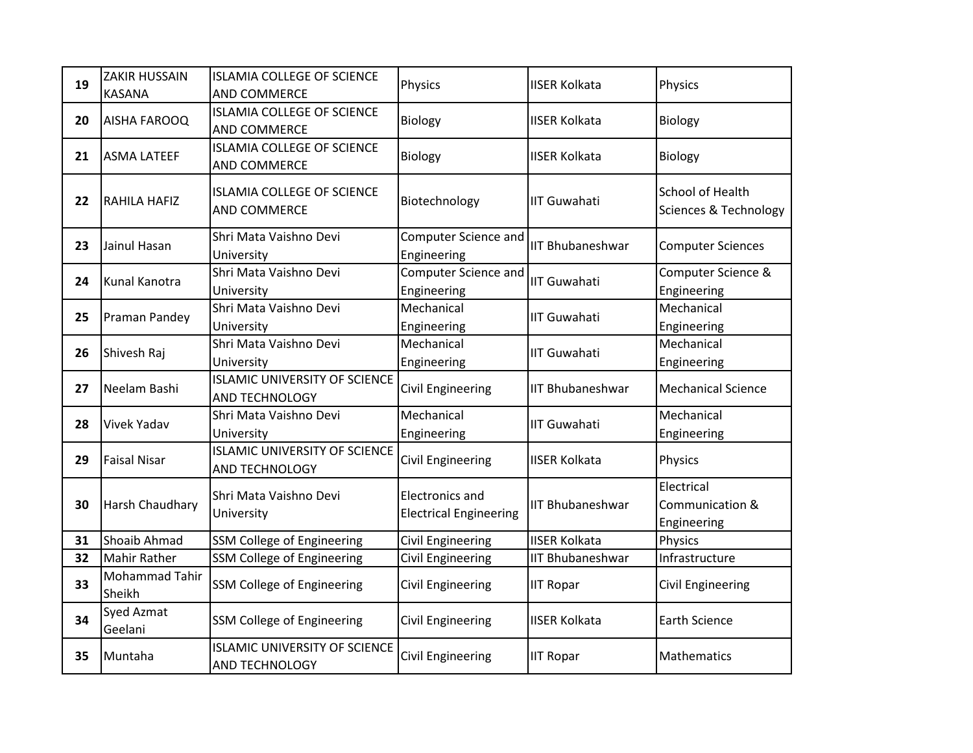| 19 | ZAKIR HUSSAIN<br><b>KASANA</b> | <b>ISLAMIA COLLEGE OF SCIENCE</b><br>AND COMMERCE             | Physics                                                 | <b>IISER Kolkata</b>    | Physics                                      |
|----|--------------------------------|---------------------------------------------------------------|---------------------------------------------------------|-------------------------|----------------------------------------------|
| 20 | AISHA FAROOQ                   | <b>ISLAMIA COLLEGE OF SCIENCE</b><br>AND COMMERCE             | Biology                                                 | <b>IISER Kolkata</b>    | Biology                                      |
| 21 | <b>ASMA LATEEF</b>             | <b>ISLAMIA COLLEGE OF SCIENCE</b><br>AND COMMERCE             | Biology                                                 | <b>IISER Kolkata</b>    | Biology                                      |
| 22 | <b>RAHILA HAFIZ</b>            | <b>ISLAMIA COLLEGE OF SCIENCE</b><br>AND COMMERCE             | Biotechnology                                           | <b>IIT Guwahati</b>     | School of Health<br>Sciences & Technology    |
| 23 | Jainul Hasan                   | Shri Mata Vaishno Devi<br>University                          | Computer Science and<br>Engineering                     | <b>IIT Bhubaneshwar</b> | <b>Computer Sciences</b>                     |
| 24 | Kunal Kanotra                  | Shri Mata Vaishno Devi<br>University                          | Computer Science and<br>Engineering                     | <b>IIT Guwahati</b>     | Computer Science &<br>Engineering            |
| 25 | Praman Pandey                  | Shri Mata Vaishno Devi<br>University                          | Mechanical<br>Engineering                               | <b>IIT Guwahati</b>     | Mechanical<br>Engineering                    |
| 26 | Shivesh Raj                    | Shri Mata Vaishno Devi<br>University                          | Mechanical<br>Engineering                               | <b>IIT Guwahati</b>     | Mechanical<br>Engineering                    |
| 27 | Neelam Bashi                   | <b>ISLAMIC UNIVERSITY OF SCIENCE</b><br>AND TECHNOLOGY        | Civil Engineering                                       | <b>IIT Bhubaneshwar</b> | <b>Mechanical Science</b>                    |
| 28 | <b>Vivek Yadav</b>             | Shri Mata Vaishno Devi<br>University                          | Mechanical<br>Engineering                               | <b>IIT Guwahati</b>     | Mechanical<br>Engineering                    |
| 29 | <b>Faisal Nisar</b>            | <b>ISLAMIC UNIVERSITY OF SCIENCE</b><br>AND TECHNOLOGY        | <b>Civil Engineering</b>                                | <b>IISER Kolkata</b>    | Physics                                      |
| 30 | Harsh Chaudhary                | Shri Mata Vaishno Devi<br>University                          | <b>Electronics and</b><br><b>Electrical Engineering</b> | <b>IIT Bhubaneshwar</b> | Electrical<br>Communication &<br>Engineering |
| 31 | Shoaib Ahmad                   | <b>SSM College of Engineering</b>                             | <b>Civil Engineering</b>                                | <b>IISER Kolkata</b>    | Physics                                      |
| 32 | <b>Mahir Rather</b>            | SSM College of Engineering                                    | Civil Engineering                                       | <b>IIT Bhubaneshwar</b> | Infrastructure                               |
| 33 | Mohammad Tahir<br>Sheikh       | <b>SSM College of Engineering</b>                             | <b>Civil Engineering</b>                                | <b>IIT Ropar</b>        | Civil Engineering                            |
| 34 | Syed Azmat<br>Geelani          | <b>SSM College of Engineering</b>                             | Civil Engineering                                       | <b>IISER Kolkata</b>    | <b>Earth Science</b>                         |
| 35 | Muntaha                        | <b>ISLAMIC UNIVERSITY OF SCIENCE</b><br><b>AND TECHNOLOGY</b> | <b>Civil Engineering</b>                                | <b>IIT Ropar</b>        | Mathematics                                  |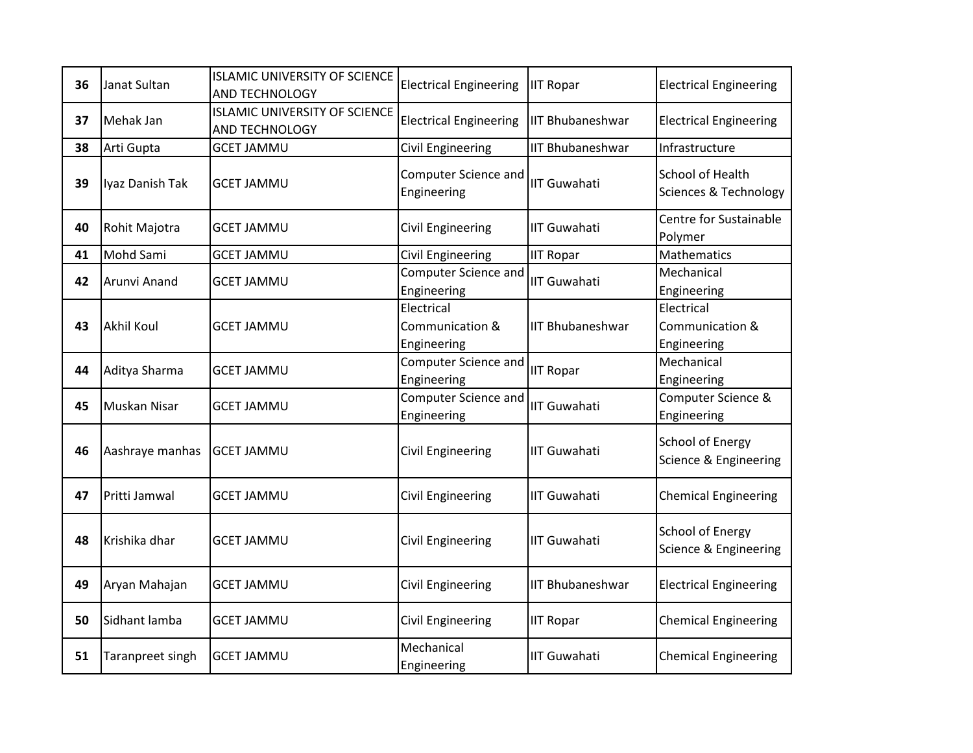| 36 | Janat Sultan        | <b>ISLAMIC UNIVERSITY OF SCIENCE</b><br>AND TECHNOLOGY | <b>Electrical Engineering</b>                | <b>IIT Ropar</b>        | <b>Electrical Engineering</b>                        |
|----|---------------------|--------------------------------------------------------|----------------------------------------------|-------------------------|------------------------------------------------------|
| 37 | Mehak Jan           | <b>ISLAMIC UNIVERSITY OF SCIENCE</b><br>AND TECHNOLOGY | <b>Electrical Engineering</b>                | <b>IIT Bhubaneshwar</b> | <b>Electrical Engineering</b>                        |
| 38 | Arti Gupta          | <b>GCET JAMMU</b>                                      | Civil Engineering                            | <b>IIT Bhubaneshwar</b> | Infrastructure                                       |
| 39 | Iyaz Danish Tak     | <b>GCET JAMMU</b>                                      | Computer Science and<br>Engineering          | <b>IIT Guwahati</b>     | School of Health<br><b>Sciences &amp; Technology</b> |
| 40 | Rohit Majotra       | <b>GCET JAMMU</b>                                      | Civil Engineering                            | <b>IIT Guwahati</b>     | Centre for Sustainable<br>Polymer                    |
| 41 | Mohd Sami           | <b>GCET JAMMU</b>                                      | <b>Civil Engineering</b>                     | <b>IIT Ropar</b>        | Mathematics                                          |
| 42 | Arunvi Anand        | <b>GCET JAMMU</b>                                      | Computer Science and<br>Engineering          | <b>IIT Guwahati</b>     | Mechanical<br>Engineering                            |
| 43 | <b>Akhil Koul</b>   | <b>GCET JAMMU</b>                                      | Electrical<br>Communication &<br>Engineering | <b>IIT Bhubaneshwar</b> | Electrical<br>Communication &<br>Engineering         |
| 44 | Aditya Sharma       | <b>GCET JAMMU</b>                                      | <b>Computer Science and</b><br>Engineering   | <b>IIT Ropar</b>        | Mechanical<br>Engineering                            |
| 45 | <b>Muskan Nisar</b> | GCET JAMMU                                             | <b>Computer Science and</b><br>Engineering   | <b>IIT Guwahati</b>     | Computer Science &<br>Engineering                    |
| 46 | Aashraye manhas     | <b>GCET JAMMU</b>                                      | Civil Engineering                            | <b>IIT Guwahati</b>     | <b>School of Energy</b><br>Science & Engineering     |
| 47 | Pritti Jamwal       | <b>GCET JAMMU</b>                                      | <b>Civil Engineering</b>                     | <b>IIT Guwahati</b>     | <b>Chemical Engineering</b>                          |
| 48 | Krishika dhar       | <b>GCET JAMMU</b>                                      | Civil Engineering                            | <b>IIT Guwahati</b>     | <b>School of Energy</b><br>Science & Engineering     |
| 49 | Aryan Mahajan       | <b>GCET JAMMU</b>                                      | Civil Engineering                            | <b>IIT Bhubaneshwar</b> | <b>Electrical Engineering</b>                        |
| 50 | Sidhant lamba       | <b>GCET JAMMU</b>                                      | Civil Engineering                            | <b>IIT Ropar</b>        | <b>Chemical Engineering</b>                          |
| 51 | Taranpreet singh    | <b>GCET JAMMU</b>                                      | Mechanical<br>Engineering                    | <b>IIT Guwahati</b>     | <b>Chemical Engineering</b>                          |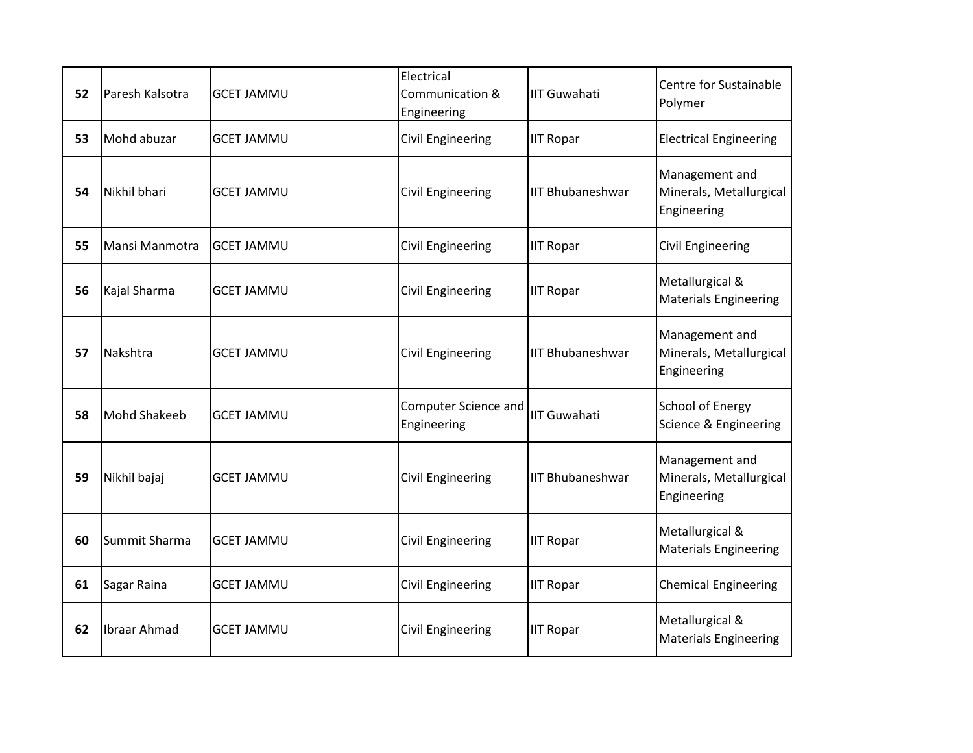| 52 | Paresh Kalsotra | <b>GCET JAMMU</b> | Electrical<br>Communication &<br>Engineering | <b>IIT Guwahati</b>     | Centre for Sustainable<br>Polymer                        |
|----|-----------------|-------------------|----------------------------------------------|-------------------------|----------------------------------------------------------|
| 53 | Mohd abuzar     | <b>GCET JAMMU</b> | Civil Engineering                            | <b>IIT Ropar</b>        | <b>Electrical Engineering</b>                            |
| 54 | Nikhil bhari    | <b>GCET JAMMU</b> | <b>Civil Engineering</b>                     | <b>IIT Bhubaneshwar</b> | Management and<br>Minerals, Metallurgical<br>Engineering |
| 55 | Mansi Manmotra  | <b>GCET JAMMU</b> | <b>Civil Engineering</b>                     | <b>IIT Ropar</b>        | <b>Civil Engineering</b>                                 |
| 56 | Kajal Sharma    | <b>GCET JAMMU</b> | Civil Engineering                            | <b>IIT Ropar</b>        | Metallurgical &<br><b>Materials Engineering</b>          |
| 57 | Nakshtra        | <b>GCET JAMMU</b> | <b>Civil Engineering</b>                     | <b>IIT Bhubaneshwar</b> | Management and<br>Minerals, Metallurgical<br>Engineering |
| 58 | Mohd Shakeeb    | <b>GCET JAMMU</b> | Computer Science and<br>Engineering          | <b>IIT Guwahati</b>     | <b>School of Energy</b><br>Science & Engineering         |
| 59 | Nikhil bajaj    | <b>GCET JAMMU</b> | Civil Engineering                            | <b>IIT Bhubaneshwar</b> | Management and<br>Minerals, Metallurgical<br>Engineering |
| 60 | Summit Sharma   | <b>GCET JAMMU</b> | <b>Civil Engineering</b>                     | <b>IIT Ropar</b>        | Metallurgical &<br><b>Materials Engineering</b>          |
| 61 | Sagar Raina     | <b>GCET JAMMU</b> | <b>Civil Engineering</b>                     | <b>IIT Ropar</b>        | <b>Chemical Engineering</b>                              |
| 62 | Ibraar Ahmad    | <b>GCET JAMMU</b> | Civil Engineering                            | <b>IIT Ropar</b>        | Metallurgical &<br><b>Materials Engineering</b>          |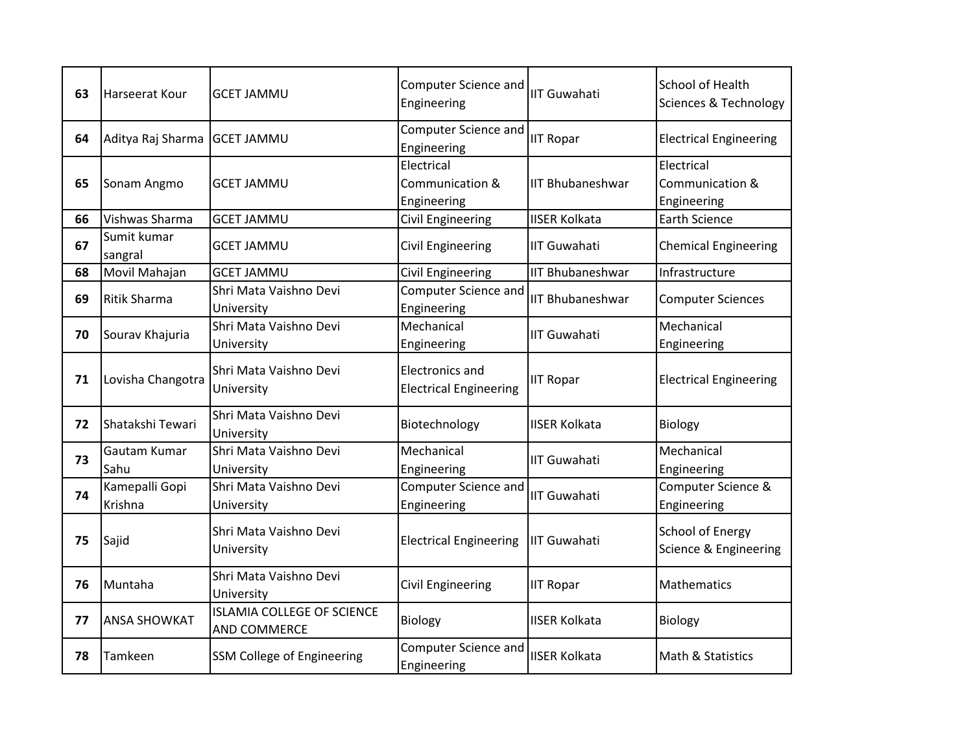| 63 | Harseerat Kour               | <b>GCET JAMMU</b>                                 | <b>Computer Science and</b><br>Engineering              | <b>IIT Guwahati</b>     | School of Health<br>Sciences & Technology        |
|----|------------------------------|---------------------------------------------------|---------------------------------------------------------|-------------------------|--------------------------------------------------|
| 64 | Aditya Raj Sharma GCET JAMMU |                                                   | Computer Science and<br>Engineering                     | <b>IIT Ropar</b>        | <b>Electrical Engineering</b>                    |
| 65 | Sonam Angmo                  | <b>GCET JAMMU</b>                                 | Electrical<br>Communication &<br>Engineering            | <b>IIT Bhubaneshwar</b> | Electrical<br>Communication &<br>Engineering     |
| 66 | Vishwas Sharma               | <b>GCET JAMMU</b>                                 | <b>Civil Engineering</b>                                | <b>IISER Kolkata</b>    | <b>Earth Science</b>                             |
| 67 | Sumit kumar<br>sangral       | <b>GCET JAMMU</b>                                 | Civil Engineering                                       | <b>IIT Guwahati</b>     | <b>Chemical Engineering</b>                      |
| 68 | Movil Mahajan                | <b>GCET JAMMU</b>                                 | Civil Engineering                                       | <b>IIT Bhubaneshwar</b> | Infrastructure                                   |
| 69 | <b>Ritik Sharma</b>          | Shri Mata Vaishno Devi<br>University              | Computer Science and<br>Engineering                     | <b>IIT Bhubaneshwar</b> | <b>Computer Sciences</b>                         |
| 70 | Sourav Khajuria              | Shri Mata Vaishno Devi<br>University              | Mechanical<br>Engineering                               | <b>IIT Guwahati</b>     | Mechanical<br>Engineering                        |
| 71 | Lovisha Changotra            | Shri Mata Vaishno Devi<br>University              | <b>Electronics and</b><br><b>Electrical Engineering</b> | <b>IIT Ropar</b>        | <b>Electrical Engineering</b>                    |
| 72 | Shatakshi Tewari             | Shri Mata Vaishno Devi<br>University              | Biotechnology                                           | <b>IISER Kolkata</b>    | Biology                                          |
| 73 | Gautam Kumar<br>Sahu         | Shri Mata Vaishno Devi<br>University              | Mechanical<br>Engineering                               | <b>IIT Guwahati</b>     | Mechanical<br>Engineering                        |
| 74 | Kamepalli Gopi<br>Krishna    | Shri Mata Vaishno Devi<br>University              | Computer Science and<br>Engineering                     | <b>IIT Guwahati</b>     | Computer Science &<br>Engineering                |
| 75 | Sajid                        | Shri Mata Vaishno Devi<br>University              | <b>Electrical Engineering</b>                           | <b>IIT Guwahati</b>     | <b>School of Energy</b><br>Science & Engineering |
| 76 | Muntaha                      | Shri Mata Vaishno Devi<br>University              | <b>Civil Engineering</b>                                | <b>IIT Ropar</b>        | Mathematics                                      |
| 77 | <b>ANSA SHOWKAT</b>          | <b>ISLAMIA COLLEGE OF SCIENCE</b><br>AND COMMERCE | Biology                                                 | <b>IISER Kolkata</b>    | Biology                                          |
| 78 | Tamkeen                      | SSM College of Engineering                        | Computer Science and<br>Engineering                     | <b>IISER Kolkata</b>    | Math & Statistics                                |